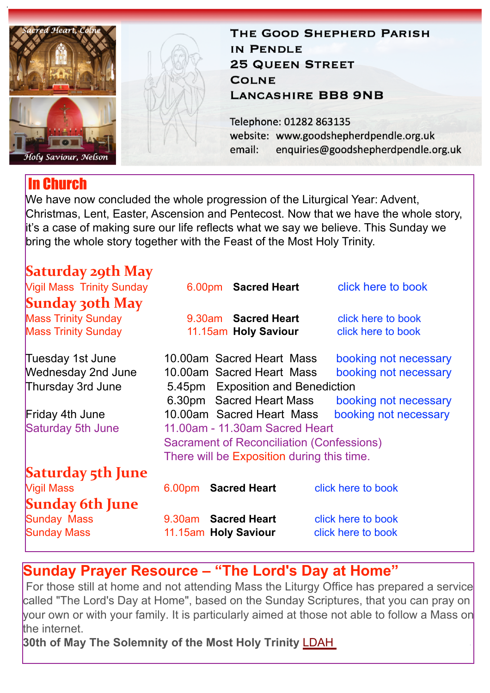

# In Church

THE GOOD SHEPHERD PARISH IN PENDLE **25 QUEEN STREET COLNE LANCASHIRE BB8 9NB** 

Telephone: 01282 863135 website: www.goodshepherdpendle.org.uk email: enquiries@goodshepherdpendle.org.uk

We have now concluded the whole progression of the Liturgical Year: Advent, Christmas, Lent, Easter, Ascension and Pentecost. Now that we have the whole story, it's a case of making sure our life reflects what we say we believe. This Sunday we bring the whole story together with the Feast of the Most Holy Trinity.

| <b>Saturday 29th May</b> |  |
|--------------------------|--|
|                          |  |
|                          |  |

| <b>Vigil Mass Trinity Sunday</b> | 6.00pm Sacred Heart                              | click here to book    |  |
|----------------------------------|--------------------------------------------------|-----------------------|--|
| <b>Sunday 30th May</b>           |                                                  |                       |  |
| <b>Mass Trinity Sunday</b>       | 9.30am Sacred Heart                              | click here to book    |  |
| <b>Mass Trinity Sunday</b>       | 11.15am Holy Saviour                             | click here to book    |  |
| Tuesday 1st June                 | 10.00am Sacred Heart Mass                        | booking not necessary |  |
| <b>Wednesday 2nd June</b>        | 10.00am Sacred Heart Mass                        | booking not necessary |  |
| Thursday 3rd June                | 5.45pm Exposition and Benediction                |                       |  |
|                                  | 6.30pm Sacred Heart Mass                         | booking not necessary |  |
| Friday 4th June                  | 10.00am Sacred Heart Mass                        | booking not necessary |  |
| Saturday 5th June                | 11.00am - 11.30am Sacred Heart                   |                       |  |
|                                  | <b>Sacrament of Reconciliation (Confessions)</b> |                       |  |
|                                  | There will be Exposition during this time.       |                       |  |
| <b>Saturday 5th June</b>         |                                                  |                       |  |
| <b>Vigil Mass</b>                | 6.00pm Sacred Heart                              | click here to book    |  |
| <b>Sunday 6th June</b>           |                                                  |                       |  |
| <b>Sunday Mass</b>               | 9.30am Sacred Heart                              | click here to book    |  |
| <b>Sunday Mass</b>               | 11.15am Holy Saviour                             | click here to book    |  |

## **Sunday Prayer Resource – "The Lord's Day at Home"**

For those still at home and not attending Mass the Liturgy Office has prepared a service called "The Lord's Day at Home", based on the Sunday Scriptures, that you can pray on your own or with your family. It is particularly aimed at those not able to follow a Mass on the internet.

**30th of May The Solemnity of the Most Holy Trinity** [LDAH](https://gbr01.safelinks.protection.outlook.com/?url=https%3A%2F%2Fdioceseofsalford.us6.list-manage.com%2Ftrack%2Fclick%3Fu%3D76e219dab8653b775ba8aac4c%26id%3D78497fd254%26e%3D5ce69633f0&data=04%7C01%7Cpeter.wilkinson%40dioceseofsalford.org.uk%7C95fa2c8331364e4717c308d9201fd27b%7C699a61ae142a45a090c604b2f08de19b%7C0%7C0%7C637576143307293159%7CUnknown%7CTWFpbGZsb3d8eyJWIjoiMC4wLjAwMDAiLCJQIjoiV2luMzIiLCJBTiI6Ik1haWwiLCJXVCI6Mn0%3D%7C1000&sdata=6L8XcH1%2Fsj8yRZfbxjez5b%2FhcyROoKanTMpa5xWnpjU%3D&reserved=0)